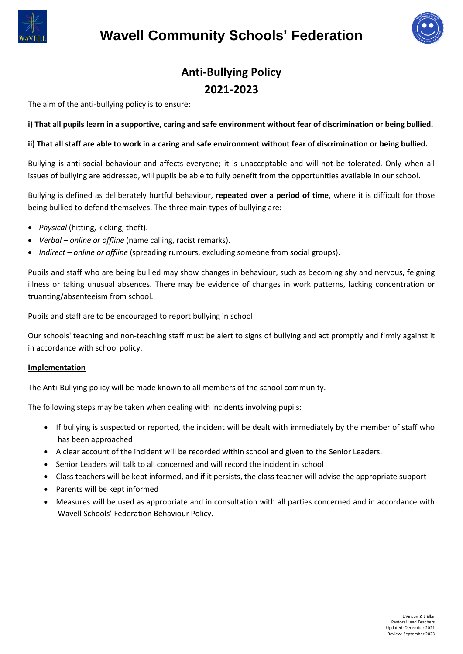

# **Wavell Community Schools' Federation**



## **Anti-Bullying Policy 2021-2023**

The aim of the anti-bullying policy is to ensure:

#### **i) That all pupils learn in a supportive, caring and safe environment without fear of discrimination or being bullied.**

#### **ii) That all staff are able to work in a caring and safe environment without fear of discrimination or being bullied.**

Bullying is anti-social behaviour and affects everyone; it is unacceptable and will not be tolerated. Only when all issues of bullying are addressed, will pupils be able to fully benefit from the opportunities available in our school.

Bullying is defined as deliberately hurtful behaviour, **repeated over a period of time**, where it is difficult for those being bullied to defend themselves. The three main types of bullying are:

- *Physical* (hitting, kicking, theft).
- *Verbal – online or offline* (name calling, racist remarks).
- *Indirect – online or offline* (spreading rumours, excluding someone from social groups).

Pupils and staff who are being bullied may show changes in behaviour, such as becoming shy and nervous, feigning illness or taking unusual absences. There may be evidence of changes in work patterns, lacking concentration or truanting/absenteeism from school.

Pupils and staff are to be encouraged to report bullying in school.

Our schools' teaching and non-teaching staff must be alert to signs of bullying and act promptly and firmly against it in accordance with school policy.

#### **Implementation**

The Anti-Bullying policy will be made known to all members of the school community.

The following steps may be taken when dealing with incidents involving pupils:

- If bullying is suspected or reported, the incident will be dealt with immediately by the member of staff who has been approached
- A clear account of the incident will be recorded within school and given to the Senior Leaders.
- Senior Leaders will talk to all concerned and will record the incident in school
- Class teachers will be kept informed, and if it persists, the class teacher will advise the appropriate support
- Parents will be kept informed
- Measures will be used as appropriate and in consultation with all parties concerned and in accordance with Wavell Schools' Federation Behaviour Policy.